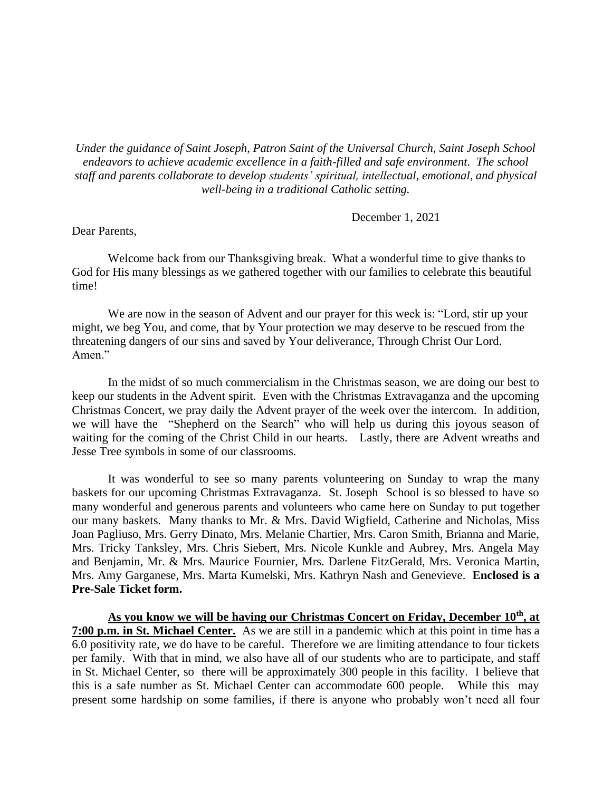*Under the guidance of Saint Joseph, Patron Saint of the Universal Church, Saint Joseph School endeavors to achieve academic excellence in a faith-filled and safe environment. The school staff and parents collaborate to develop students' spiritual, intellectual, emotional, and physical well-being in a traditional Catholic setting.*

December 1, 2021

Dear Parents,

Welcome back from our Thanksgiving break. What a wonderful time to give thanks to God for His many blessings as we gathered together with our families to celebrate this beautiful time!

We are now in the season of Advent and our prayer for this week is: "Lord, stir up your might, we beg You, and come, that by Your protection we may deserve to be rescued from the threatening dangers of our sins and saved by Your deliverance, Through Christ Our Lord. Amen."

In the midst of so much commercialism in the Christmas season, we are doing our best to keep our students in the Advent spirit. Even with the Christmas Extravaganza and the upcoming Christmas Concert, we pray daily the Advent prayer of the week over the intercom. In addition, we will have the "Shepherd on the Search" who will help us during this joyous season of waiting for the coming of the Christ Child in our hearts. Lastly, there are Advent wreaths and Jesse Tree symbols in some of our classrooms.

It was wonderful to see so many parents volunteering on Sunday to wrap the many baskets for our upcoming Christmas Extravaganza. St. Joseph School is so blessed to have so many wonderful and generous parents and volunteers who came here on Sunday to put together our many baskets. Many thanks to Mr. & Mrs. David Wigfield, Catherine and Nicholas, Miss Joan Pagliuso, Mrs. Gerry Dinato, Mrs. Melanie Chartier, Mrs. Caron Smith, Brianna and Marie, Mrs. Tricky Tanksley, Mrs. Chris Siebert, Mrs. Nicole Kunkle and Aubrey, Mrs. Angela May and Benjamin, Mr. & Mrs. Maurice Fournier, Mrs. Darlene FitzGerald, Mrs. Veronica Martin, Mrs. Amy Garganese, Mrs. Marta Kumelski, Mrs. Kathryn Nash and Genevieve. **Enclosed is a Pre-Sale Ticket form.**

**As you know we will be having our Christmas Concert on Friday, December 10th, at 7:00 p.m. in St. Michael Center.** As we are still in a pandemic which at this point in time has a 6.0 positivity rate, we do have to be careful. Therefore we are limiting attendance to four tickets per family. With that in mind, we also have all of our students who are to participate, and staff in St. Michael Center, so there will be approximately 300 people in this facility. I believe that this is a safe number as St. Michael Center can accommodate 600 people. While this may present some hardship on some families, if there is anyone who probably won't need all four